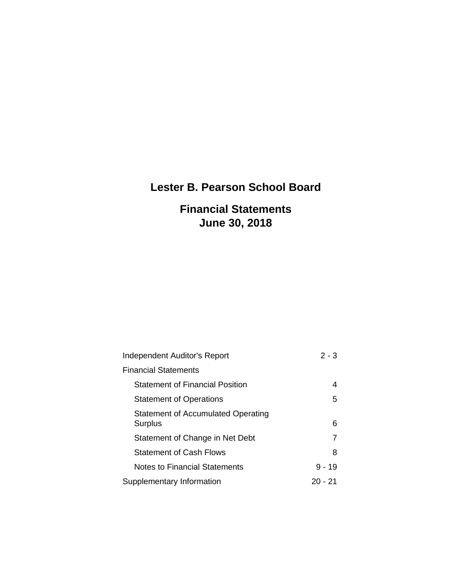# **Lester B. Pearson School Board**

### **Financial Statements June 30, 2018**

| <b>Independent Auditor's Report</b>           | $2 - 3$  |
|-----------------------------------------------|----------|
| <b>Financial Statements</b>                   |          |
| <b>Statement of Financial Position</b>        | 4        |
| <b>Statement of Operations</b>                | 5        |
| Statement of Accumulated Operating<br>Surplus | 6        |
| Statement of Change in Net Debt               | 7        |
| <b>Statement of Cash Flows</b>                | 8        |
| <b>Notes to Financial Statements</b>          | $9 - 19$ |
| Supplementary Information                     | 20 - 21  |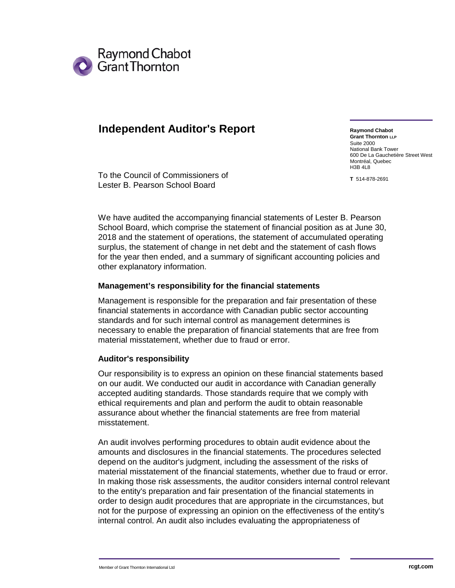

### **Independent Auditor's Report**

**Raymond Chabot Grant Thornton LLP** Suite 2000 National Bank Tower 600 De La Gauchetière Street West Montréal, Quebec H3B 4L8

**T** 514-878-2691

To the Council of Commissioners of Lester B. Pearson School Board

We have audited the accompanying financial statements of Lester B. Pearson School Board, which comprise the statement of financial position as at June 30, 2018 and the statement of operations, the statement of accumulated operating surplus, the statement of change in net debt and the statement of cash flows for the year then ended, and a summary of significant accounting policies and other explanatory information.

### **Management's responsibility for the financial statements**

Management is responsible for the preparation and fair presentation of these financial statements in accordance with Canadian public sector accounting standards and for such internal control as management determines is necessary to enable the preparation of financial statements that are free from material misstatement, whether due to fraud or error.

### **Auditor's responsibility**

Our responsibility is to express an opinion on these financial statements based on our audit. We conducted our audit in accordance with Canadian generally accepted auditing standards. Those standards require that we comply with ethical requirements and plan and perform the audit to obtain reasonable assurance about whether the financial statements are free from material misstatement.

An audit involves performing procedures to obtain audit evidence about the amounts and disclosures in the financial statements. The procedures selected depend on the auditor's judgment, including the assessment of the risks of material misstatement of the financial statements, whether due to fraud or error. In making those risk assessments, the auditor considers internal control relevant to the entity's preparation and fair presentation of the financial statements in order to design audit procedures that are appropriate in the circumstances, but not for the purpose of expressing an opinion on the effectiveness of the entity's internal control. An audit also includes evaluating the appropriateness of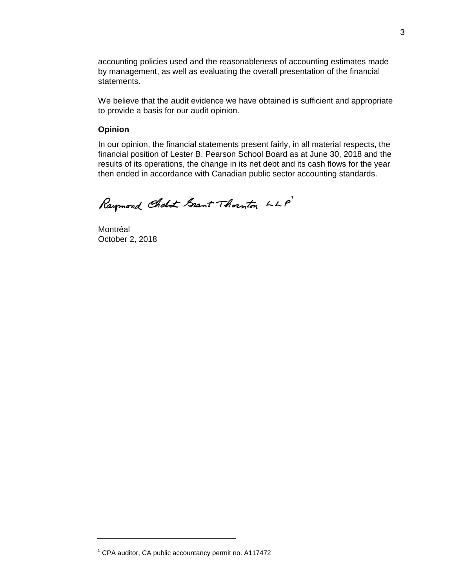accounting policies used and the reasonableness of accounting estimates made by management, as well as evaluating the overall presentation of the financial statements.

We believe that the audit evidence we have obtained is sufficient and appropriate to provide a basis for our audit opinion.

#### **Opinion**

In our opinion, the financial statements present fairly, in all material respects, the financial position of Lester B. Pearson School Board as at June 30, 2018 and the results of its operations, the change in its net debt and its cash flows for the year then ended in accordance with Canadian public sector accounting standards.

Raymond Cholot Grant Thornton LLP

Montréal October 2, 2018

 $1$  CPA auditor, CA public accountancy permit no. A117472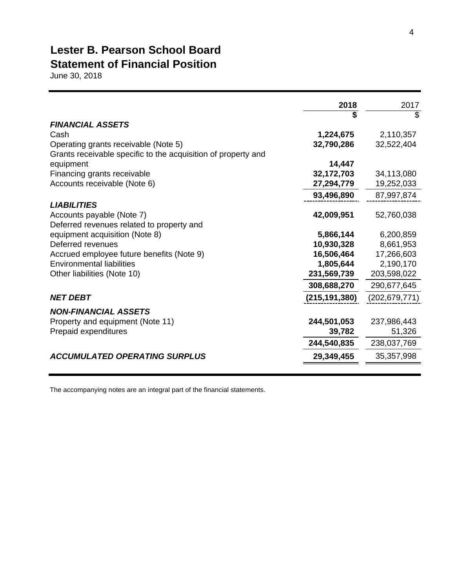### **Lester B. Pearson School Board Statement of Financial Position**

June 30, 2018

|                                                               | 2018            | 2017            |
|---------------------------------------------------------------|-----------------|-----------------|
|                                                               |                 | \$              |
| <b>FINANCIAL ASSETS</b>                                       |                 |                 |
| Cash                                                          | 1,224,675       | 2,110,357       |
| Operating grants receivable (Note 5)                          | 32,790,286      | 32,522,404      |
| Grants receivable specific to the acquisition of property and |                 |                 |
| equipment                                                     | 14,447          |                 |
| Financing grants receivable                                   | 32,172,703      | 34,113,080      |
| Accounts receivable (Note 6)                                  | 27,294,779      | 19,252,033      |
|                                                               | 93,496,890      | 87,997,874      |
| <b>LIABILITIES</b>                                            |                 |                 |
| Accounts payable (Note 7)                                     | 42,009,951      | 52,760,038      |
| Deferred revenues related to property and                     |                 |                 |
| equipment acquisition (Note 8)                                | 5,866,144       | 6,200,859       |
| Deferred revenues                                             | 10,930,328      | 8,661,953       |
| Accrued employee future benefits (Note 9)                     | 16,506,464      | 17,266,603      |
| <b>Environmental liabilities</b>                              | 1,805,644       | 2,190,170       |
| Other liabilities (Note 10)                                   | 231,569,739     | 203,598,022     |
|                                                               | 308,688,270     | 290,677,645     |
| <b>NET DEBT</b>                                               | (215, 191, 380) | (202, 679, 771) |
| <b>NON-FINANCIAL ASSETS</b>                                   |                 |                 |
| Property and equipment (Note 11)                              | 244,501,053     | 237,986,443     |
| Prepaid expenditures                                          | 39,782          | 51,326          |
|                                                               | 244,540,835     | 238,037,769     |
| <b>ACCUMULATED OPERATING SURPLUS</b>                          | 29,349,455      | 35,357,998      |
|                                                               |                 |                 |
|                                                               |                 |                 |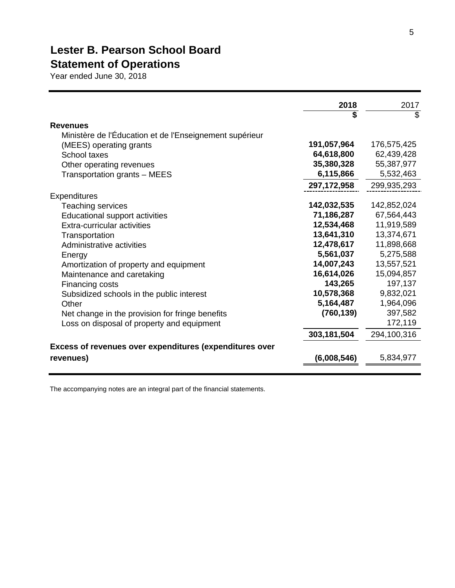# **Lester B. Pearson School Board Statement of Operations**

Year ended June 30, 2018

|                                                         | 2018          | 2017        |
|---------------------------------------------------------|---------------|-------------|
|                                                         | \$            | \$          |
| <b>Revenues</b>                                         |               |             |
| Ministère de l'Éducation et de l'Enseignement supérieur |               |             |
| (MEES) operating grants                                 | 191,057,964   | 176,575,425 |
| School taxes                                            | 64,618,800    | 62,439,428  |
| Other operating revenues                                | 35,380,328    | 55,387,977  |
| Transportation grants - MEES                            | 6,115,866     | 5,532,463   |
|                                                         | 297, 172, 958 | 299,935,293 |
| <b>Expenditures</b>                                     |               |             |
| <b>Teaching services</b>                                | 142,032,535   | 142,852,024 |
| <b>Educational support activities</b>                   | 71,186,287    | 67,564,443  |
| Extra-curricular activities                             | 12,534,468    | 11,919,589  |
| Transportation                                          | 13,641,310    | 13,374,671  |
| Administrative activities                               | 12,478,617    | 11,898,668  |
| Energy                                                  | 5,561,037     | 5,275,588   |
| Amortization of property and equipment                  | 14,007,243    | 13,557,521  |
| Maintenance and caretaking                              | 16,614,026    | 15,094,857  |
| Financing costs                                         | 143,265       | 197,137     |
| Subsidized schools in the public interest               | 10,578,368    | 9,832,021   |
| Other                                                   | 5,164,487     | 1,964,096   |
| Net change in the provision for fringe benefits         | (760, 139)    | 397,582     |
| Loss on disposal of property and equipment              |               | 172,119     |
|                                                         | 303,181,504   | 294,100,316 |
| Excess of revenues over expenditures (expenditures over |               |             |
| revenues)                                               | (6,008,546)   | 5,834,977   |
|                                                         |               |             |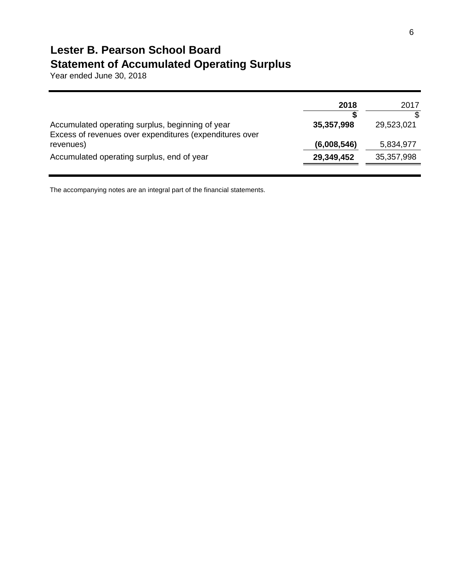### **Lester B. Pearson School Board Statement of Accumulated Operating Surplus**

Year ended June 30, 2018

|                                                                                                             | 2018        | 2017       |
|-------------------------------------------------------------------------------------------------------------|-------------|------------|
| Accumulated operating surplus, beginning of year<br>Excess of revenues over expenditures (expenditures over | 35,357,998  | 29,523,021 |
| revenues)                                                                                                   | (6,008,546) | 5,834,977  |
| Accumulated operating surplus, end of year                                                                  | 29,349,452  | 35,357,998 |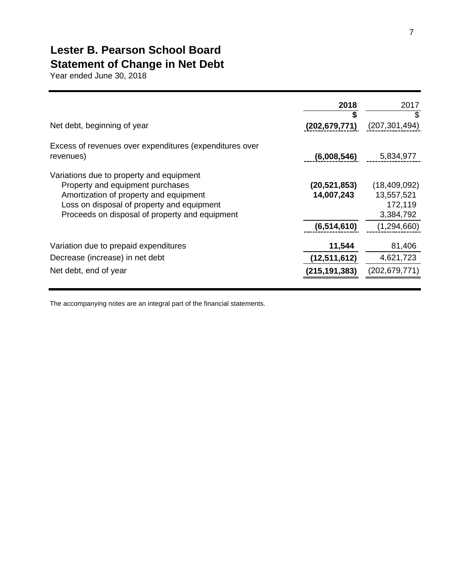# **Lester B. Pearson School Board Statement of Change in Net Debt**

Year ended June 30, 2018

| Net debt, beginning of year                                                                                                                                                                                            | 2018<br>S<br>(202, 679, 771) | 2017<br>\$<br>(207, 301, 494)                      |
|------------------------------------------------------------------------------------------------------------------------------------------------------------------------------------------------------------------------|------------------------------|----------------------------------------------------|
| Excess of revenues over expenditures (expenditures over<br>revenues)                                                                                                                                                   | (6,008,546)                  | 5,834,977                                          |
| Variations due to property and equipment<br>Property and equipment purchases<br>Amortization of property and equipment<br>Loss on disposal of property and equipment<br>Proceeds on disposal of property and equipment | (20, 521, 853)<br>14,007,243 | (18,409,092)<br>13,557,521<br>172,119<br>3,384,792 |
|                                                                                                                                                                                                                        | (6, 514, 610)                | (1,294,660)                                        |
| Variation due to prepaid expenditures                                                                                                                                                                                  | 11,544                       | 81,406                                             |
| Decrease (increase) in net debt                                                                                                                                                                                        | (12,511,612)                 | 4,621,723                                          |
| Net debt, end of year                                                                                                                                                                                                  | (215, 191, 383)              | (202, 679, 771)                                    |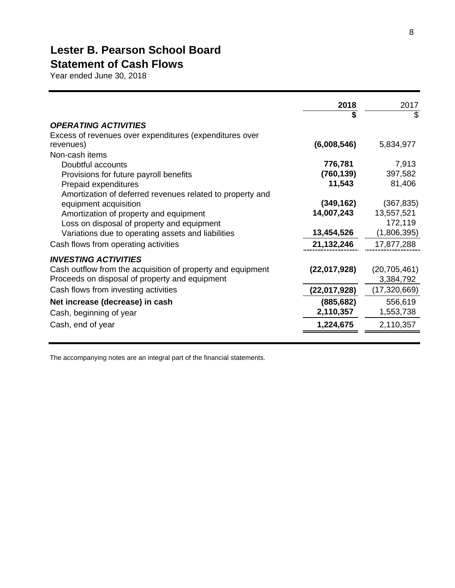# **Lester B. Pearson School Board**

# **Statement of Cash Flows**

Year ended June 30, 2018

|                                                             | 2018         | 2017           |
|-------------------------------------------------------------|--------------|----------------|
|                                                             | \$           | \$             |
| <b>OPERATING ACTIVITIES</b>                                 |              |                |
| Excess of revenues over expenditures (expenditures over     |              |                |
| revenues)                                                   | (6,008,546)  | 5,834,977      |
| Non-cash items                                              |              |                |
| Doubtful accounts                                           | 776,781      | 7,913          |
| Provisions for future payroll benefits                      | (760, 139)   | 397,582        |
| Prepaid expenditures                                        | 11,543       | 81,406         |
| Amortization of deferred revenues related to property and   |              |                |
| equipment acquisition                                       | (349, 162)   | (367, 835)     |
| Amortization of property and equipment                      | 14,007,243   | 13,557,521     |
| Loss on disposal of property and equipment                  |              | 172,119        |
| Variations due to operating assets and liabilities          | 13,454,526   | (1,806,395)    |
| Cash flows from operating activities                        | 21,132,246   | 17,877,288     |
| <b>INVESTING ACTIVITIES</b>                                 |              |                |
| Cash outflow from the acquisition of property and equipment | (22,017,928) | (20, 705, 461) |
| Proceeds on disposal of property and equipment              |              | 3,384,792      |
| Cash flows from investing activities                        | (22,017,928) | (17, 320, 669) |
| Net increase (decrease) in cash                             | (885, 682)   | 556,619        |
| Cash, beginning of year                                     | 2,110,357    | 1,553,738      |
| Cash, end of year                                           | 1,224,675    | 2,110,357      |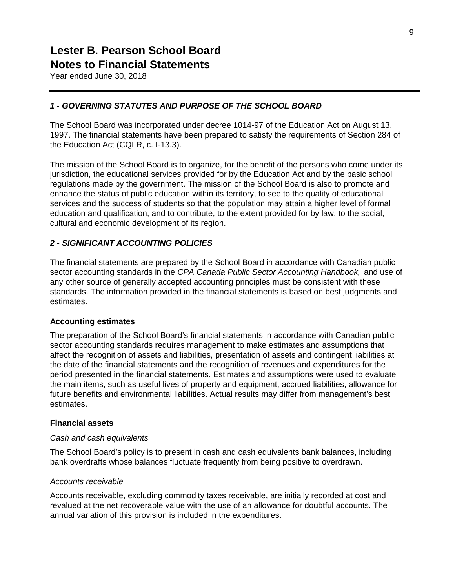Year ended June 30, 2018

### *1 - GOVERNING STATUTES AND PURPOSE OF THE SCHOOL BOARD*

The School Board was incorporated under decree 1014-97 of the Education Act on August 13, 1997. The financial statements have been prepared to satisfy the requirements of Section 284 of the Education Act (CQLR, c. I-13.3).

The mission of the School Board is to organize, for the benefit of the persons who come under its jurisdiction, the educational services provided for by the Education Act and by the basic school regulations made by the government. The mission of the School Board is also to promote and enhance the status of public education within its territory, to see to the quality of educational services and the success of students so that the population may attain a higher level of formal education and qualification, and to contribute, to the extent provided for by law, to the social, cultural and economic development of its region.

### *2 - SIGNIFICANT ACCOUNTING POLICIES*

The financial statements are prepared by the School Board in accordance with Canadian public sector accounting standards in the *CPA Canada Public Sector Accounting Handbook,* and use of any other source of generally accepted accounting principles must be consistent with these standards. The information provided in the financial statements is based on best judgments and estimates.

#### **Accounting estimates**

The preparation of the School Board's financial statements in accordance with Canadian public sector accounting standards requires management to make estimates and assumptions that affect the recognition of assets and liabilities, presentation of assets and contingent liabilities at the date of the financial statements and the recognition of revenues and expenditures for the period presented in the financial statements. Estimates and assumptions were used to evaluate the main items, such as useful lives of property and equipment, accrued liabilities, allowance for future benefits and environmental liabilities. Actual results may differ from management's best estimates.

#### **Financial assets**

#### *Cash and cash equivalents*

The School Board's policy is to present in cash and cash equivalents bank balances, including bank overdrafts whose balances fluctuate frequently from being positive to overdrawn.

#### *Accounts receivable*

Accounts receivable, excluding commodity taxes receivable, are initially recorded at cost and revalued at the net recoverable value with the use of an allowance for doubtful accounts. The annual variation of this provision is included in the expenditures.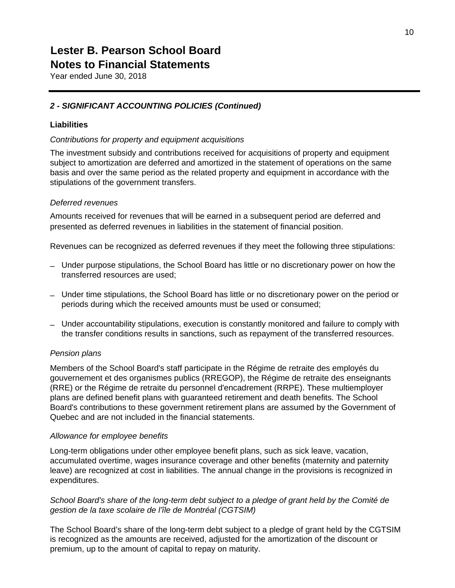Year ended June 30, 2018

### *2 - SIGNIFICANT ACCOUNTING POLICIES (Continued)*

### **Liabilities**

### *Contributions for property and equipment acquisitions*

The investment subsidy and contributions received for acquisitions of property and equipment subject to amortization are deferred and amortized in the statement of operations on the same basis and over the same period as the related property and equipment in accordance with the stipulations of the government transfers.

### *Deferred revenues*

Amounts received for revenues that will be earned in a subsequent period are deferred and presented as deferred revenues in liabilities in the statement of financial position.

Revenues can be recognized as deferred revenues if they meet the following three stipulations:

- Under purpose stipulations, the School Board has little or no discretionary power on how the transferred resources are used;
- Under time stipulations, the School Board has little or no discretionary power on the period or periods during which the received amounts must be used or consumed;
- Under accountability stipulations, execution is constantly monitored and failure to comply with the transfer conditions results in sanctions, such as repayment of the transferred resources.

#### *Pension plans*

Members of the School Board's staff participate in the Régime de retraite des employés du gouvernement et des organismes publics (RREGOP), the Régime de retraite des enseignants (RRE) or the Régime de retraite du personnel d'encadrement (RRPE). These multiemployer plans are defined benefit plans with guaranteed retirement and death benefits. The School Board's contributions to these government retirement plans are assumed by the Government of Quebec and are not included in the financial statements.

#### *Allowance for employee benefits*

Long-term obligations under other employee benefit plans, such as sick leave, vacation, accumulated overtime, wages insurance coverage and other benefits (maternity and paternity leave) are recognized at cost in liabilities. The annual change in the provisions is recognized in expenditures.

### *School Board's share of the long-term debt subject to a pledge of grant held by the Comité de gestion de la taxe scolaire de l'île de Montréal (CGTSIM)*

The School Board's share of the long-term debt subject to a pledge of grant held by the CGTSIM is recognized as the amounts are received, adjusted for the amortization of the discount or premium, up to the amount of capital to repay on maturity.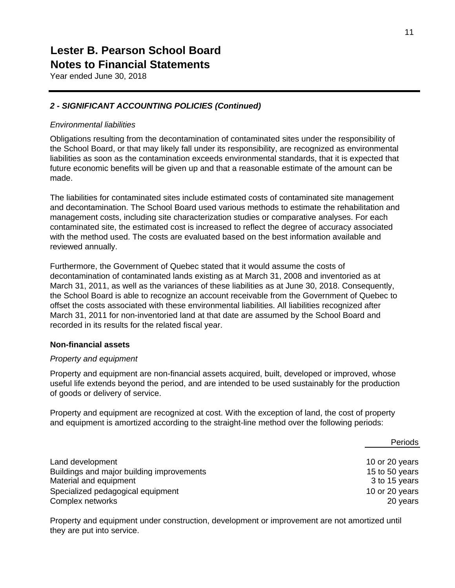Year ended June 30, 2018

### *2 - SIGNIFICANT ACCOUNTING POLICIES (Continued)*

### *Environmental liabilities*

Obligations resulting from the decontamination of contaminated sites under the responsibility of the School Board, or that may likely fall under its responsibility, are recognized as environmental liabilities as soon as the contamination exceeds environmental standards, that it is expected that future economic benefits will be given up and that a reasonable estimate of the amount can be made.

The liabilities for contaminated sites include estimated costs of contaminated site management and decontamination. The School Board used various methods to estimate the rehabilitation and management costs, including site characterization studies or comparative analyses. For each contaminated site, the estimated cost is increased to reflect the degree of accuracy associated with the method used. The costs are evaluated based on the best information available and reviewed annually.

Furthermore, the Government of Quebec stated that it would assume the costs of decontamination of contaminated lands existing as at March 31, 2008 and inventoried as at March 31, 2011, as well as the variances of these liabilities as at June 30, 2018. Consequently, the School Board is able to recognize an account receivable from the Government of Quebec to offset the costs associated with these environmental liabilities. All liabilities recognized after March 31, 2011 for non-inventoried land at that date are assumed by the School Board and recorded in its results for the related fiscal year.

#### **Non-financial assets**

#### *Property and equipment*

Property and equipment are non-financial assets acquired, built, developed or improved, whose useful life extends beyond the period, and are intended to be used sustainably for the production of goods or delivery of service.

Property and equipment are recognized at cost. With the exception of land, the cost of property and equipment is amortized according to the straight-line method over the following periods:

|                                           | Periods        |
|-------------------------------------------|----------------|
|                                           |                |
| Land development                          | 10 or 20 years |
| Buildings and major building improvements | 15 to 50 years |
| Material and equipment                    | 3 to 15 years  |
| Specialized pedagogical equipment         | 10 or 20 years |
| Complex networks                          | 20 years       |

Property and equipment under construction, development or improvement are not amortized until they are put into service.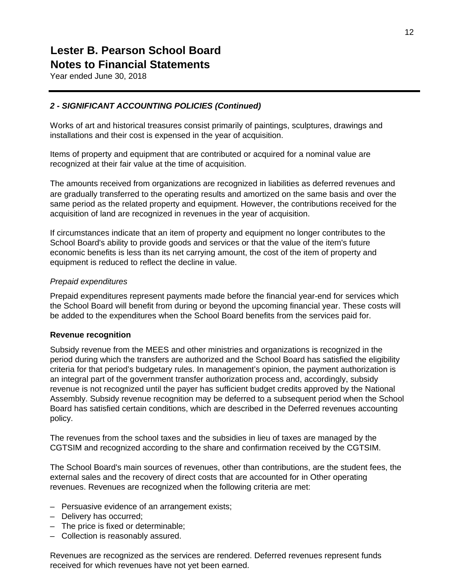Year ended June 30, 2018

### *2 - SIGNIFICANT ACCOUNTING POLICIES (Continued)*

Works of art and historical treasures consist primarily of paintings, sculptures, drawings and installations and their cost is expensed in the year of acquisition.

Items of property and equipment that are contributed or acquired for a nominal value are recognized at their fair value at the time of acquisition.

The amounts received from organizations are recognized in liabilities as deferred revenues and are gradually transferred to the operating results and amortized on the same basis and over the same period as the related property and equipment. However, the contributions received for the acquisition of land are recognized in revenues in the year of acquisition.

If circumstances indicate that an item of property and equipment no longer contributes to the School Board's ability to provide goods and services or that the value of the item's future economic benefits is less than its net carrying amount, the cost of the item of property and equipment is reduced to reflect the decline in value.

#### *Prepaid expenditures*

Prepaid expenditures represent payments made before the financial year-end for services which the School Board will benefit from during or beyond the upcoming financial year. These costs will be added to the expenditures when the School Board benefits from the services paid for.

#### **Revenue recognition**

Subsidy revenue from the MEES and other ministries and organizations is recognized in the period during which the transfers are authorized and the School Board has satisfied the eligibility criteria for that period's budgetary rules. In management's opinion, the payment authorization is an integral part of the government transfer authorization process and, accordingly, subsidy revenue is not recognized until the payer has sufficient budget credits approved by the National Assembly. Subsidy revenue recognition may be deferred to a subsequent period when the School Board has satisfied certain conditions, which are described in the Deferred revenues accounting policy.

The revenues from the school taxes and the subsidies in lieu of taxes are managed by the CGTSIM and recognized according to the share and confirmation received by the CGTSIM.

The School Board's main sources of revenues, other than contributions, are the student fees, the external sales and the recovery of direct costs that are accounted for in Other operating revenues. Revenues are recognized when the following criteria are met:

- Persuasive evidence of an arrangement exists;
- Delivery has occurred;
- The price is fixed or determinable;
- Collection is reasonably assured.

Revenues are recognized as the services are rendered. Deferred revenues represent funds received for which revenues have not yet been earned.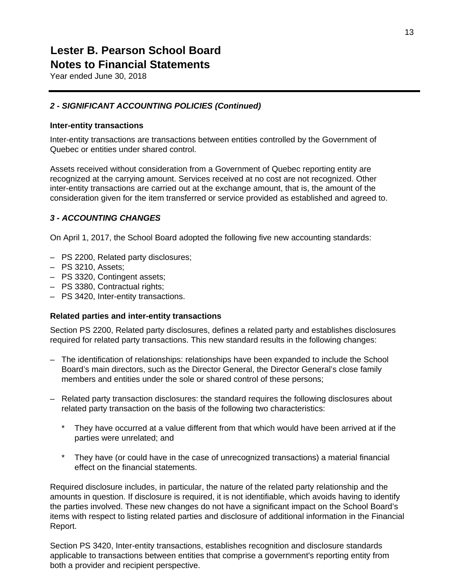Year ended June 30, 2018

### *2 - SIGNIFICANT ACCOUNTING POLICIES (Continued)*

#### **Inter-entity transactions**

Inter-entity transactions are transactions between entities controlled by the Government of Quebec or entities under shared control.

Assets received without consideration from a Government of Quebec reporting entity are recognized at the carrying amount. Services received at no cost are not recognized. Other inter-entity transactions are carried out at the exchange amount, that is, the amount of the consideration given for the item transferred or service provided as established and agreed to.

### *3 - ACCOUNTING CHANGES*

On April 1, 2017, the School Board adopted the following five new accounting standards:

- PS 2200, Related party disclosures;
- PS 3210, Assets;
- PS 3320, Contingent assets;
- PS 3380, Contractual rights;
- PS 3420, Inter-entity transactions.

#### **Related parties and inter-entity transactions**

Section PS 2200, Related party disclosures, defines a related party and establishes disclosures required for related party transactions. This new standard results in the following changes:

- The identification of relationships: relationships have been expanded to include the School Board's main directors, such as the Director General, the Director General's close family members and entities under the sole or shared control of these persons;
- Related party transaction disclosures: the standard requires the following disclosures about related party transaction on the basis of the following two characteristics:
	- \* They have occurred at a value different from that which would have been arrived at if the parties were unrelated; and
	- \* They have (or could have in the case of unrecognized transactions) a material financial effect on the financial statements.

Required disclosure includes, in particular, the nature of the related party relationship and the amounts in question. If disclosure is required, it is not identifiable, which avoids having to identify the parties involved. These new changes do not have a significant impact on the School Board's items with respect to listing related parties and disclosure of additional information in the Financial Report.

Section PS 3420, Inter-entity transactions, establishes recognition and disclosure standards applicable to transactions between entities that comprise a government's reporting entity from both a provider and recipient perspective.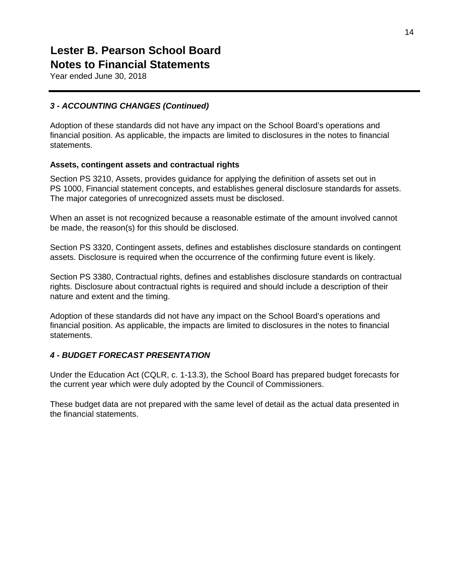Year ended June 30, 2018

### *3 - ACCOUNTING CHANGES (Continued)*

Adoption of these standards did not have any impact on the School Board's operations and financial position. As applicable, the impacts are limited to disclosures in the notes to financial statements.

### **Assets, contingent assets and contractual rights**

Section PS 3210, Assets, provides guidance for applying the definition of assets set out in PS 1000, Financial statement concepts, and establishes general disclosure standards for assets. The major categories of unrecognized assets must be disclosed.

When an asset is not recognized because a reasonable estimate of the amount involved cannot be made, the reason(s) for this should be disclosed.

Section PS 3320, Contingent assets, defines and establishes disclosure standards on contingent assets. Disclosure is required when the occurrence of the confirming future event is likely.

Section PS 3380, Contractual rights, defines and establishes disclosure standards on contractual rights. Disclosure about contractual rights is required and should include a description of their nature and extent and the timing.

Adoption of these standards did not have any impact on the School Board's operations and financial position. As applicable, the impacts are limited to disclosures in the notes to financial statements.

### *4 - BUDGET FORECAST PRESENTATION*

Under the Education Act (CQLR, c. 1-13.3), the School Board has prepared budget forecasts for the current year which were duly adopted by the Council of Commissioners.

These budget data are not prepared with the same level of detail as the actual data presented in the financial statements.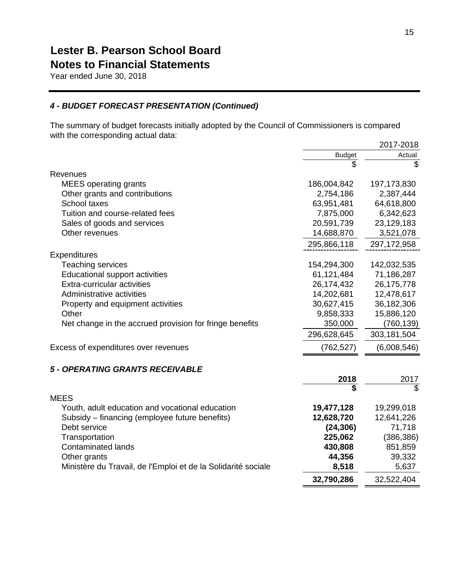Year ended June 30, 2018

### *4 - BUDGET FORECAST PRESENTATION (Continued)*

The summary of budget forecasts initially adopted by the Council of Commissioners is compared with the corresponding actual data:

|                                                               |               | 2017-2018     |
|---------------------------------------------------------------|---------------|---------------|
|                                                               | <b>Budget</b> | Actual        |
|                                                               | \$            | \$            |
| Revenues                                                      |               |               |
| <b>MEES</b> operating grants                                  | 186,004,842   | 197, 173, 830 |
| Other grants and contributions                                | 2,754,186     | 2,387,444     |
| School taxes                                                  | 63,951,481    | 64,618,800    |
| Tuition and course-related fees                               | 7,875,000     | 6,342,623     |
| Sales of goods and services                                   | 20,591,739    | 23,129,183    |
| Other revenues                                                | 14,688,870    | 3,521,078     |
|                                                               | 295,866,118   | 297,172,958   |
| <b>Expenditures</b>                                           |               |               |
| Teaching services                                             | 154,294,300   | 142,032,535   |
| <b>Educational support activities</b>                         | 61,121,484    | 71,186,287    |
| Extra-curricular activities                                   | 26,174,432    | 26,175,778    |
| Administrative activities                                     | 14,202,681    | 12,478,617    |
| Property and equipment activities                             | 30,627,415    | 36,182,306    |
| Other                                                         | 9,858,333     | 15,886,120    |
| Net change in the accrued provision for fringe benefits       | 350,000       | (760, 139)    |
|                                                               | 296,628,645   | 303,181,504   |
| Excess of expenditures over revenues                          | (762, 527)    | (6,008,546)   |
| 5 - OPERATING GRANTS RECEIVABLE                               |               |               |
|                                                               | 2018          | 2017          |
|                                                               |               | \$            |
| <b>MEES</b>                                                   |               |               |
| Youth, adult education and vocational education               | 19,477,128    | 19,299,018    |
| Subsidy – financing (employee future benefits)                | 12,628,720    | 12,641,226    |
| Debt service                                                  | (24, 306)     | 71,718        |
| Transportation                                                | 225,062       | (386, 386)    |
| Contaminated lands                                            | 430,808       | 851,859       |
| Other grants                                                  | 44,356        | 39,332        |
| Ministère du Travail, de l'Emploi et de la Solidarité sociale | 8,518         | 5,637         |
|                                                               | 32,790,286    | 32,522,404    |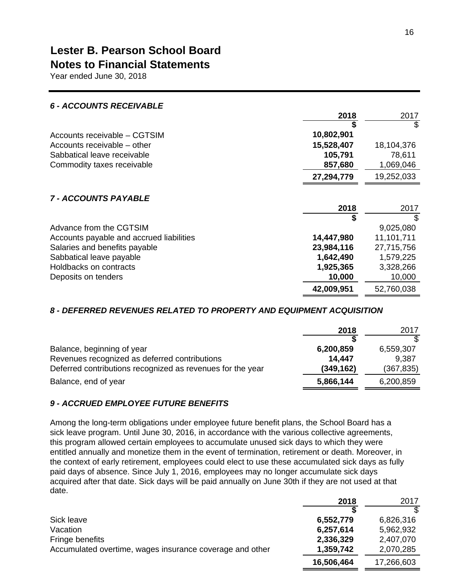Year ended June 30, 2018

| <b>6 - ACCOUNTS RECEIVABLE</b>           |            |            |
|------------------------------------------|------------|------------|
|                                          | 2018       | 2017       |
|                                          |            | S          |
| Accounts receivable - CGTSIM             | 10,802,901 |            |
| Accounts receivable – other              | 15,528,407 | 18,104,376 |
| Sabbatical leave receivable              | 105,791    | 78,611     |
| Commodity taxes receivable               | 857,680    | 1,069,046  |
|                                          | 27,294,779 | 19,252,033 |
| <b>7 - ACCOUNTS PAYABLE</b>              |            |            |
|                                          | 2018       | 2017       |
|                                          |            | \$         |
| Advance from the CGTSIM                  |            | 9,025,080  |
| Accounts payable and accrued liabilities | 14,447,980 | 11,101,711 |
| Salaries and benefits payable            | 23,984,116 | 27,715,756 |
| Sabbatical leave payable                 | 1,642,490  | 1,579,225  |
| Holdbacks on contracts                   | 1,925,365  | 3,328,266  |
| Deposits on tenders                      | 10,000     | 10,000     |
|                                          | 42,009,951 | 52,760,038 |

### *8 - DEFERRED REVENUES RELATED TO PROPERTY AND EQUIPMENT ACQUISITION*

|                                                            | 2018       | 2017       |
|------------------------------------------------------------|------------|------------|
|                                                            |            |            |
| Balance, beginning of year                                 | 6,200,859  | 6,559,307  |
| Revenues recognized as deferred contributions              | 14.447     | 9,387      |
| Deferred contributions recognized as revenues for the year | (349, 162) | (367, 835) |
| Balance, end of year                                       | 5,866,144  | 6,200,859  |
|                                                            |            |            |

### *9 - ACCRUED EMPLOYEE FUTURE BENEFITS*

Among the long-term obligations under employee future benefit plans, the School Board has a sick leave program. Until June 30, 2016, in accordance with the various collective agreements, this program allowed certain employees to accumulate unused sick days to which they were entitled annually and monetize them in the event of termination, retirement or death. Moreover, in the context of early retirement, employees could elect to use these accumulated sick days as fully paid days of absence. Since July 1, 2016, employees may no longer accumulate sick days acquired after that date. Sick days will be paid annually on June 30th if they are not used at that date.

|                                                          | 2018       | 2017       |
|----------------------------------------------------------|------------|------------|
|                                                          |            |            |
| Sick leave                                               | 6,552,779  | 6,826,316  |
| Vacation                                                 | 6,257,614  | 5,962,932  |
| Fringe benefits                                          | 2,336,329  | 2,407,070  |
| Accumulated overtime, wages insurance coverage and other | 1,359,742  | 2,070,285  |
|                                                          | 16,506,464 | 17,266,603 |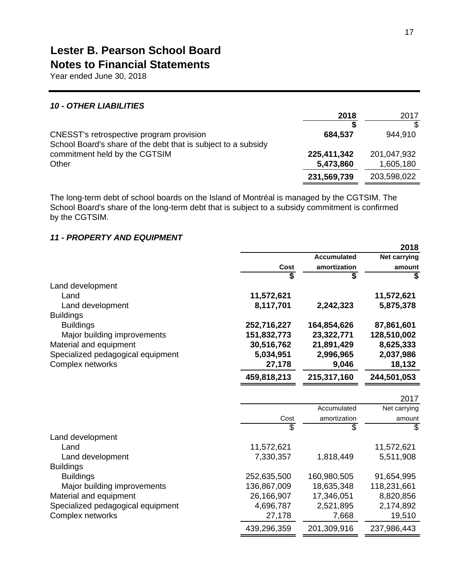Year ended June 30, 2018

### *10 - OTHER LIABILITIES*

|                                                                                                | 2018        | 2017        |
|------------------------------------------------------------------------------------------------|-------------|-------------|
|                                                                                                |             |             |
| CNESST's retrospective program provision                                                       | 684,537     | 944,910     |
| School Board's share of the debt that is subject to a subsidy<br>commitment held by the CGTSIM | 225,411,342 | 201,047,932 |
| Other                                                                                          | 5,473,860   | 1,605,180   |
|                                                                                                | 231,569,739 | 203,598,022 |
|                                                                                                |             |             |

The long-term debt of school boards on the Island of Montréal is managed by the CGTSIM. The School Board's share of the long-term debt that is subject to a subsidy commitment is confirmed by the CGTSIM.

### *11 - PROPERTY AND EQUIPMENT*

|                                   |             |                    | 2018                                 |
|-----------------------------------|-------------|--------------------|--------------------------------------|
|                                   |             | <b>Accumulated</b> | Net carrying                         |
|                                   | Cost        | amortization       | amount                               |
|                                   | \$          | \$                 | $\overline{\boldsymbol{\mathsf{s}}}$ |
| Land development                  |             |                    |                                      |
| Land                              | 11,572,621  |                    | 11,572,621                           |
| Land development                  | 8,117,701   | 2,242,323          | 5,875,378                            |
| <b>Buildings</b>                  |             |                    |                                      |
| <b>Buildings</b>                  | 252,716,227 | 164,854,626        | 87,861,601                           |
| Major building improvements       | 151,832,773 | 23,322,771         | 128,510,002                          |
| Material and equipment            | 30,516,762  | 21,891,429         | 8,625,333                            |
| Specialized pedagogical equipment | 5,034,951   | 2,996,965          | 2,037,986                            |
| Complex networks                  | 27,178      | 9,046              | 18,132                               |
|                                   | 459,818,213 | 215,317,160        | 244,501,053                          |
|                                   |             |                    | 2017                                 |
|                                   |             | Accumulated        | Net carrying                         |
|                                   | Cost        | amortization       | amount                               |
|                                   | S           | \$                 | \$                                   |
| Land development                  |             |                    |                                      |
| Land                              | 11,572,621  |                    | 11,572,621                           |
| Land development                  | 7,330,357   | 1,818,449          | 5,511,908                            |
| <b>Buildings</b>                  |             |                    |                                      |
| <b>Buildings</b>                  | 252,635,500 | 160,980,505        | 91,654,995                           |
| Major building improvements       | 136,867,009 | 18,635,348         | 118,231,661                          |
| Material and equipment            | 26,166,907  | 17,346,051         | 8,820,856                            |
| Specialized pedagogical equipment | 4,696,787   | 2,521,895          | 2,174,892                            |
| Complex networks                  | 27,178      | 7,668              | 19,510                               |
|                                   | 439,296,359 | 201,309,916        | 237,986,443                          |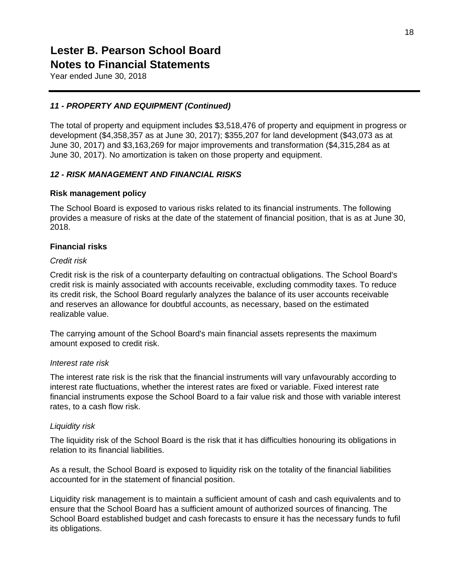Year ended June 30, 2018

### *11 - PROPERTY AND EQUIPMENT (Continued)*

The total of property and equipment includes \$3,518,476 of property and equipment in progress or development (\$4,358,357 as at June 30, 2017); \$355,207 for land development (\$43,073 as at June 30, 2017) and \$3,163,269 for major improvements and transformation (\$4,315,284 as at June 30, 2017). No amortization is taken on those property and equipment.

### *12 - RISK MANAGEMENT AND FINANCIAL RISKS*

#### **Risk management policy**

The School Board is exposed to various risks related to its financial instruments. The following provides a measure of risks at the date of the statement of financial position, that is as at June 30, 2018.

### **Financial risks**

#### *Credit risk*

Credit risk is the risk of a counterparty defaulting on contractual obligations. The School Board's credit risk is mainly associated with accounts receivable, excluding commodity taxes. To reduce its credit risk, the School Board regularly analyzes the balance of its user accounts receivable and reserves an allowance for doubtful accounts, as necessary, based on the estimated realizable value.

The carrying amount of the School Board's main financial assets represents the maximum amount exposed to credit risk.

#### *Interest rate risk*

The interest rate risk is the risk that the financial instruments will vary unfavourably according to interest rate fluctuations, whether the interest rates are fixed or variable. Fixed interest rate financial instruments expose the School Board to a fair value risk and those with variable interest rates, to a cash flow risk.

#### *Liquidity risk*

The liquidity risk of the School Board is the risk that it has difficulties honouring its obligations in relation to its financial liabilities.

As a result, the School Board is exposed to liquidity risk on the totality of the financial liabilities accounted for in the statement of financial position.

Liquidity risk management is to maintain a sufficient amount of cash and cash equivalents and to ensure that the School Board has a sufficient amount of authorized sources of financing. The School Board established budget and cash forecasts to ensure it has the necessary funds to fufil its obligations.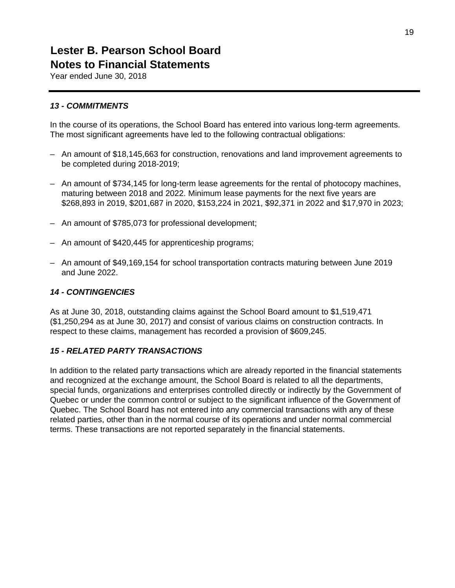Year ended June 30, 2018

### *13 - COMMITMENTS*

In the course of its operations, the School Board has entered into various long-term agreements. The most significant agreements have led to the following contractual obligations:

- An amount of \$18,145,663 for construction, renovations and land improvement agreements to be completed during 2018-2019;
- An amount of \$734,145 for long-term lease agreements for the rental of photocopy machines, maturing between 2018 and 2022. Minimum lease payments for the next five years are \$268,893 in 2019, \$201,687 in 2020, \$153,224 in 2021, \$92,371 in 2022 and \$17,970 in 2023;
- An amount of \$785,073 for professional development;
- An amount of \$420,445 for apprenticeship programs;
- An amount of \$49,169,154 for school transportation contracts maturing between June 2019 and June 2022.

### *14 - CONTINGENCIES*

As at June 30, 2018, outstanding claims against the School Board amount to \$1,519,471 (\$1,250,294 as at June 30, 2017) and consist of various claims on construction contracts. In respect to these claims, management has recorded a provision of \$609,245.

### *15 - RELATED PARTY TRANSACTIONS*

In addition to the related party transactions which are already reported in the financial statements and recognized at the exchange amount, the School Board is related to all the departments, special funds, organizations and enterprises controlled directly or indirectly by the Government of Quebec or under the common control or subject to the significant influence of the Government of Quebec. The School Board has not entered into any commercial transactions with any of these related parties, other than in the normal course of its operations and under normal commercial terms. These transactions are not reported separately in the financial statements.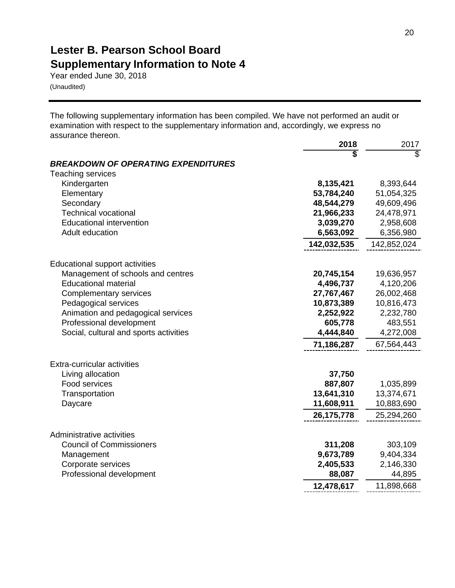### **Lester B. Pearson School Board Supplementary Information to Note 4**

Year ended June 30, 2018 (Unaudited)

The following supplementary information has been compiled. We have not performed an audit or examination with respect to the supplementary information and, accordingly, we express no assurance thereon.

|                                                                     | 2018                   | 2017                    |
|---------------------------------------------------------------------|------------------------|-------------------------|
|                                                                     |                        | $\overline{\mathbb{S}}$ |
| <b>BREAKDOWN OF OPERATING EXPENDITURES</b>                          |                        |                         |
| <b>Teaching services</b>                                            |                        |                         |
| Kindergarten                                                        | 8,135,421              | 8,393,644               |
| Elementary                                                          | 53,784,240             | 51,054,325              |
| Secondary                                                           | 48,544,279             | 49,609,496              |
| <b>Technical vocational</b><br><b>Educational intervention</b>      | 21,966,233             | 24,478,971              |
| Adult education                                                     | 3,039,270<br>6,563,092 | 2,958,608<br>6,356,980  |
|                                                                     |                        |                         |
|                                                                     | 142,032,535            | 142,852,024             |
|                                                                     |                        |                         |
| Educational support activities<br>Management of schools and centres | 20,745,154             | 19,636,957              |
| <b>Educational material</b>                                         | 4,496,737              | 4,120,206               |
| <b>Complementary services</b>                                       | 27,767,467             | 26,002,468              |
| Pedagogical services                                                | 10,873,389             | 10,816,473              |
| Animation and pedagogical services                                  | 2,252,922              | 2,232,780               |
| Professional development                                            | 605,778                | 483,551                 |
| Social, cultural and sports activities                              | 4,444,840              | 4,272,008               |
|                                                                     | 71,186,287             | 67,564,443              |
| Extra-curricular activities                                         |                        |                         |
| Living allocation                                                   | 37,750                 |                         |
| Food services                                                       | 887,807                | 1,035,899               |
| Transportation                                                      | 13,641,310             | 13,374,671              |
| Daycare                                                             | 11,608,911             | 10,883,690              |
|                                                                     | 26, 175, 778           | 25,294,260              |
|                                                                     |                        |                         |
| Administrative activities                                           |                        |                         |
| <b>Council of Commissioners</b>                                     | 311,208                | 303,109                 |
| Management                                                          | 9,673,789              | 9,404,334               |
| Corporate services<br>Professional development                      | 2,405,533<br>88,087    | 2,146,330<br>44,895     |
|                                                                     |                        |                         |
|                                                                     | 12,478,617             | 11,898,668              |